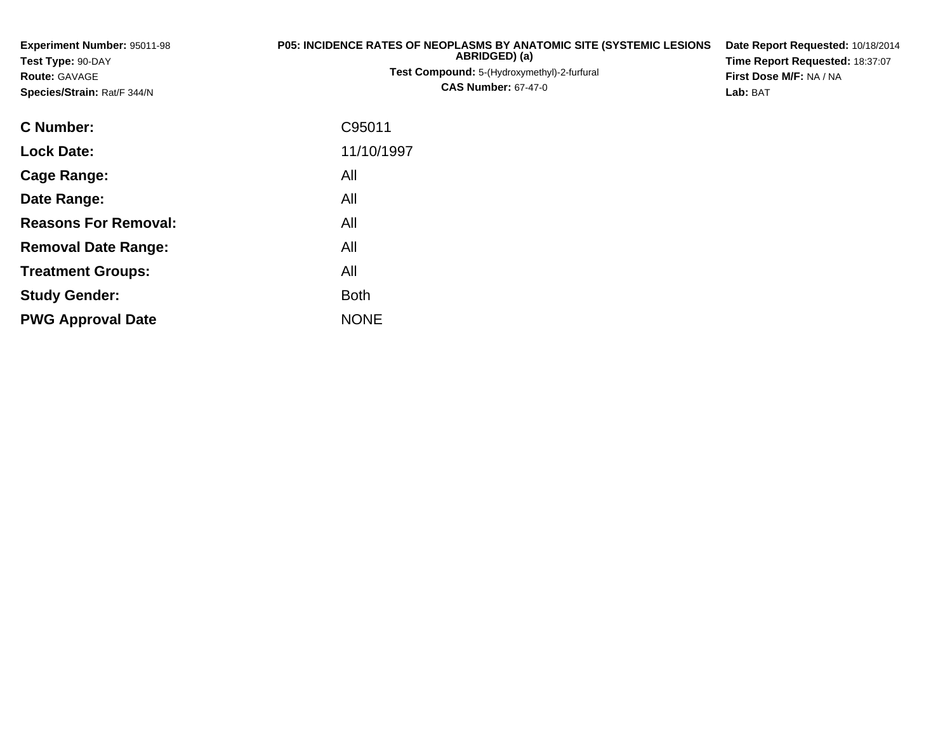| Experiment Number: 95011-98<br>Test Type: 90-DAY<br>Route: GAVAGE<br>Species/Strain: Rat/F 344/N | <b>P05: INCIDENCE RATES OF NEOPLASMS BY ANATOMIC SITE (SYSTEMIC LESIONS)</b><br>ABRIDGED) (a)<br>Test Compound: 5-(Hydroxymethyl)-2-furfural<br><b>CAS Number: 67-47-0</b> | Date Report Requested: 10/18/2014<br>Time Report Requested: 18:37:07<br>First Dose M/F: NA / NA<br>Lab: BAT |  |  |  |  |
|--------------------------------------------------------------------------------------------------|----------------------------------------------------------------------------------------------------------------------------------------------------------------------------|-------------------------------------------------------------------------------------------------------------|--|--|--|--|
| <b>C Number:</b>                                                                                 | C95011                                                                                                                                                                     |                                                                                                             |  |  |  |  |
| <b>Lock Date:</b>                                                                                | 11/10/1997                                                                                                                                                                 |                                                                                                             |  |  |  |  |
| Cage Range:                                                                                      | All                                                                                                                                                                        |                                                                                                             |  |  |  |  |
| Date Range:                                                                                      | All                                                                                                                                                                        |                                                                                                             |  |  |  |  |
| <b>Reasons For Removal:</b>                                                                      | All                                                                                                                                                                        |                                                                                                             |  |  |  |  |
| <b>Removal Date Range:</b>                                                                       | All                                                                                                                                                                        |                                                                                                             |  |  |  |  |

**Treatment Groups:**

**PWG Approval Date**

**Study Gender:**

All

e NONE

Both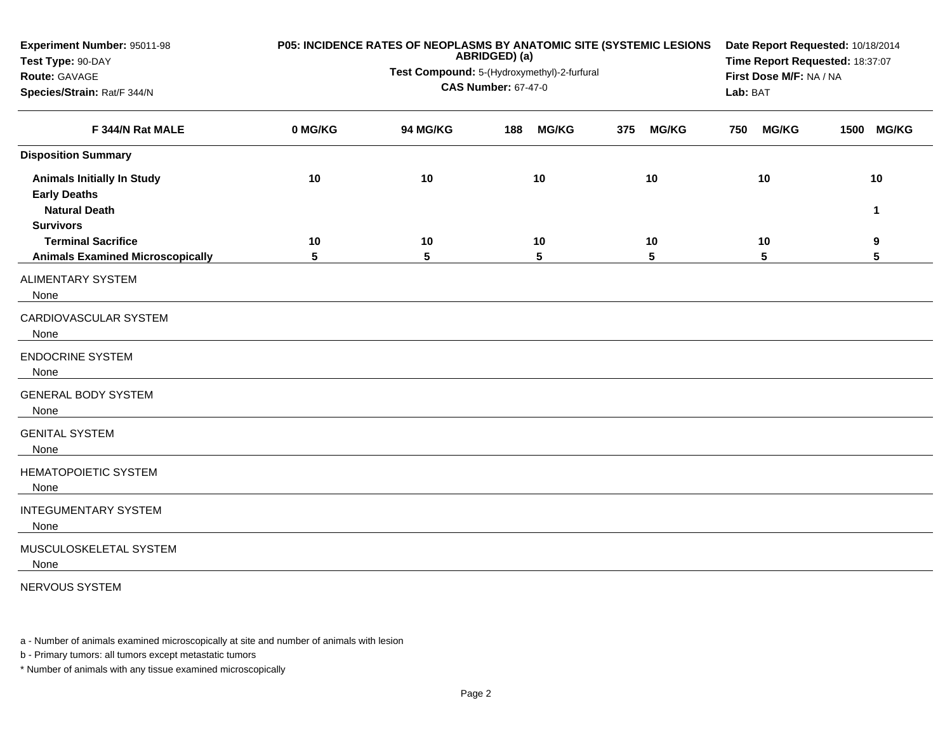| Experiment Number: 95011-98<br>Test Type: 90-DAY<br>Route: GAVAGE<br>Species/Strain: Rat/F 344/N     | P05: INCIDENCE RATES OF NEOPLASMS BY ANATOMIC SITE (SYSTEMIC LESIONS |          | Date Report Requested: 10/18/2014<br>Time Report Requested: 18:37:07<br>First Dose M/F: NA / NA<br>Lab: BAT |              |     |              |     |              |      |                    |
|------------------------------------------------------------------------------------------------------|----------------------------------------------------------------------|----------|-------------------------------------------------------------------------------------------------------------|--------------|-----|--------------|-----|--------------|------|--------------------|
| F 344/N Rat MALE                                                                                     | 0 MG/KG                                                              | 94 MG/KG | 188                                                                                                         | <b>MG/KG</b> | 375 | <b>MG/KG</b> | 750 | <b>MG/KG</b> | 1500 | <b>MG/KG</b>       |
| <b>Disposition Summary</b>                                                                           |                                                                      |          |                                                                                                             |              |     |              |     |              |      |                    |
| <b>Animals Initially In Study</b><br><b>Early Deaths</b><br><b>Natural Death</b><br><b>Survivors</b> | 10                                                                   | 10       |                                                                                                             | 10           |     | 10           |     | 10           |      | 10<br>$\mathbf{1}$ |
| <b>Terminal Sacrifice</b>                                                                            | 10                                                                   | 10       |                                                                                                             | 10           |     | 10           |     | 10           |      | 9                  |
| <b>Animals Examined Microscopically</b>                                                              | 5                                                                    | 5        |                                                                                                             | 5            |     | 5            |     | 5            |      | 5                  |
| ALIMENTARY SYSTEM<br>None                                                                            |                                                                      |          |                                                                                                             |              |     |              |     |              |      |                    |
| CARDIOVASCULAR SYSTEM<br>None                                                                        |                                                                      |          |                                                                                                             |              |     |              |     |              |      |                    |
| <b>ENDOCRINE SYSTEM</b><br>None                                                                      |                                                                      |          |                                                                                                             |              |     |              |     |              |      |                    |
| <b>GENERAL BODY SYSTEM</b><br>None                                                                   |                                                                      |          |                                                                                                             |              |     |              |     |              |      |                    |
| <b>GENITAL SYSTEM</b><br>None                                                                        |                                                                      |          |                                                                                                             |              |     |              |     |              |      |                    |
| <b>HEMATOPOIETIC SYSTEM</b><br>None                                                                  |                                                                      |          |                                                                                                             |              |     |              |     |              |      |                    |
| <b>INTEGUMENTARY SYSTEM</b><br>None                                                                  |                                                                      |          |                                                                                                             |              |     |              |     |              |      |                    |
| MUSCULOSKELETAL SYSTEM<br>None                                                                       |                                                                      |          |                                                                                                             |              |     |              |     |              |      |                    |
| NERVOUS SYSTEM                                                                                       |                                                                      |          |                                                                                                             |              |     |              |     |              |      |                    |

a - Number of animals examined microscopically at site and number of animals with lesion

b - Primary tumors: all tumors except metastatic tumors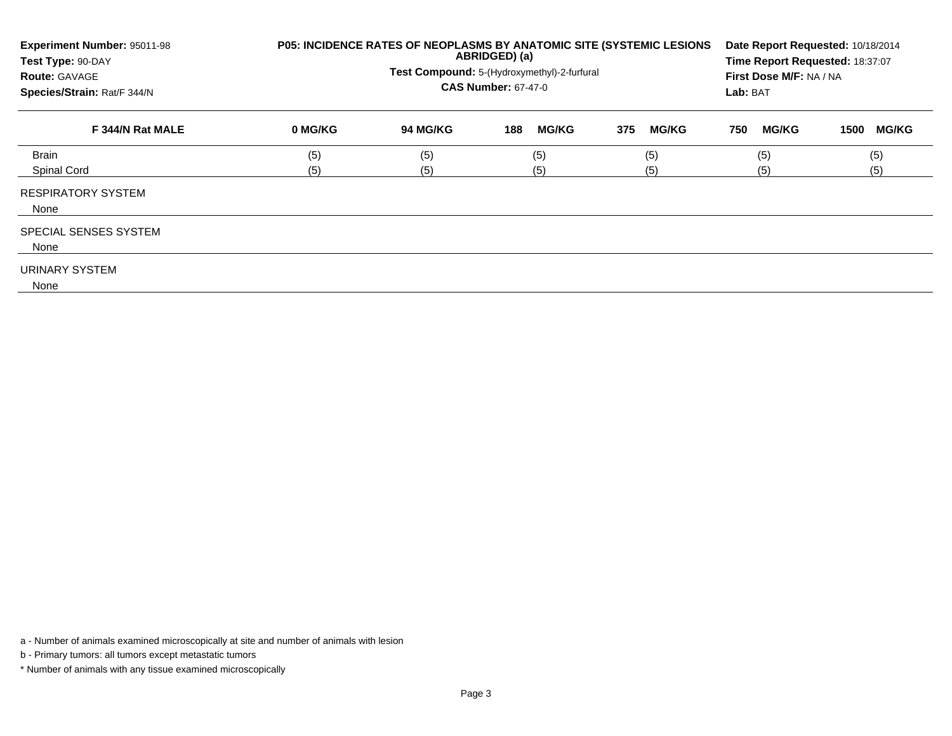| Experiment Number: 95011-98<br>Test Type: 90-DAY<br><b>Route: GAVAGE</b><br>Species/Strain: Rat/F 344/N | P05: INCIDENCE RATES OF NEOPLASMS BY ANATOMIC SITE (SYSTEMIC LESIONS | Date Report Requested: 10/18/2014<br>Time Report Requested: 18:37:07<br>First Dose M/F: NA / NA<br>Lab: BAT |                     |                     |                     |                      |
|---------------------------------------------------------------------------------------------------------|----------------------------------------------------------------------|-------------------------------------------------------------------------------------------------------------|---------------------|---------------------|---------------------|----------------------|
| F 344/N Rat MALE                                                                                        | 0 MG/KG                                                              | 94 MG/KG                                                                                                    | <b>MG/KG</b><br>188 | <b>MG/KG</b><br>375 | <b>MG/KG</b><br>750 | <b>MG/KG</b><br>1500 |
| Brain                                                                                                   | (5)                                                                  | (5)                                                                                                         | (5)                 | (5)                 | (5)                 | (5)                  |
| <b>Spinal Cord</b>                                                                                      | (5)                                                                  | (5)                                                                                                         | (5)                 | (5)                 | (5)                 | (5)                  |
| <b>RESPIRATORY SYSTEM</b><br>None                                                                       |                                                                      |                                                                                                             |                     |                     |                     |                      |
| <b>SPECIAL SENSES SYSTEM</b><br>None                                                                    |                                                                      |                                                                                                             |                     |                     |                     |                      |
| URINARY SYSTEM<br>None                                                                                  |                                                                      |                                                                                                             |                     |                     |                     |                      |

a - Number of animals examined microscopically at site and number of animals with lesion

b - Primary tumors: all tumors except metastatic tumors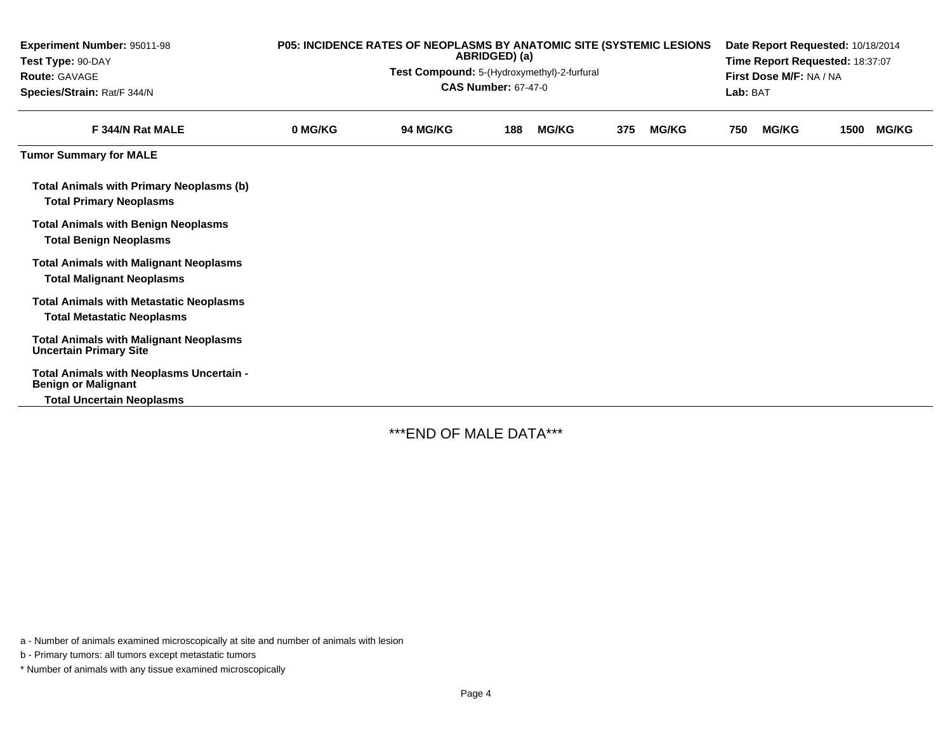| <b>Experiment Number: 95011-98</b><br>Test Type: 90-DAY<br><b>Route: GAVAGE</b><br>Species/Strain: Rat/F 344/N | P05: INCIDENCE RATES OF NEOPLASMS BY ANATOMIC SITE (SYSTEMIC LESIONS | Date Report Requested: 10/18/2014<br>Time Report Requested: 18:37:07<br>First Dose M/F: NA / NA<br>Lab: BAT |     |              |     |              |     |              |      |              |
|----------------------------------------------------------------------------------------------------------------|----------------------------------------------------------------------|-------------------------------------------------------------------------------------------------------------|-----|--------------|-----|--------------|-----|--------------|------|--------------|
| F 344/N Rat MALE                                                                                               | 0 MG/KG                                                              | <b>94 MG/KG</b>                                                                                             | 188 | <b>MG/KG</b> | 375 | <b>MG/KG</b> | 750 | <b>MG/KG</b> | 1500 | <b>MG/KG</b> |
| <b>Tumor Summary for MALE</b>                                                                                  |                                                                      |                                                                                                             |     |              |     |              |     |              |      |              |
| <b>Total Animals with Primary Neoplasms (b)</b><br><b>Total Primary Neoplasms</b>                              |                                                                      |                                                                                                             |     |              |     |              |     |              |      |              |
| <b>Total Animals with Benign Neoplasms</b><br><b>Total Benign Neoplasms</b>                                    |                                                                      |                                                                                                             |     |              |     |              |     |              |      |              |
| <b>Total Animals with Malignant Neoplasms</b><br><b>Total Malignant Neoplasms</b>                              |                                                                      |                                                                                                             |     |              |     |              |     |              |      |              |
| <b>Total Animals with Metastatic Neoplasms</b><br><b>Total Metastatic Neoplasms</b>                            |                                                                      |                                                                                                             |     |              |     |              |     |              |      |              |
| <b>Total Animals with Malignant Neoplasms</b><br><b>Uncertain Primary Site</b>                                 |                                                                      |                                                                                                             |     |              |     |              |     |              |      |              |
| Total Animals with Neoplasms Uncertain -<br><b>Benign or Malignant</b>                                         |                                                                      |                                                                                                             |     |              |     |              |     |              |      |              |
| <b>Total Uncertain Neoplasms</b>                                                                               |                                                                      |                                                                                                             |     |              |     |              |     |              |      |              |

\*\*\*END OF MALE DATA\*\*\*

a - Number of animals examined microscopically at site and number of animals with lesion

b - Primary tumors: all tumors except metastatic tumors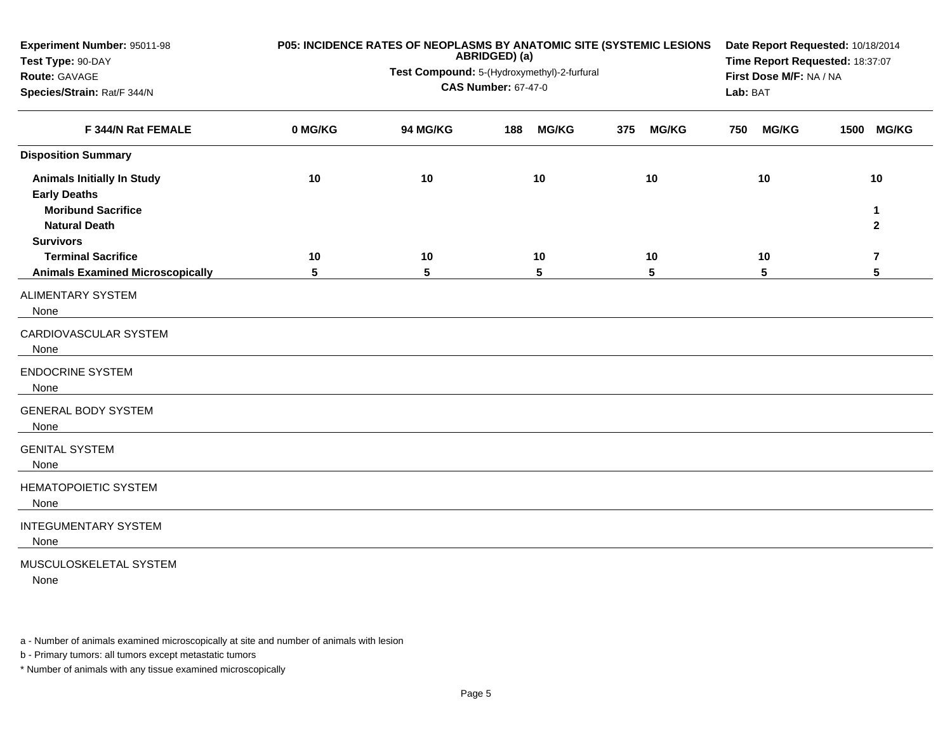| Experiment Number: 95011-98<br>Test Type: 90-DAY<br>Route: GAVAGE<br>Species/Strain: Rat/F 344/N                                  |         | P05: INCIDENCE RATES OF NEOPLASMS BY ANATOMIC SITE (SYSTEMIC LESIONS<br>ABRIDGED) (a)<br>Test Compound: 5-(Hydroxymethyl)-2-furfural<br><b>CAS Number: 67-47-0</b> | Date Report Requested: 10/18/2014<br>Time Report Requested: 18:37:07<br>First Dose M/F: NA / NA<br>Lab: BAT |                     |                     |                         |
|-----------------------------------------------------------------------------------------------------------------------------------|---------|--------------------------------------------------------------------------------------------------------------------------------------------------------------------|-------------------------------------------------------------------------------------------------------------|---------------------|---------------------|-------------------------|
| F 344/N Rat FEMALE                                                                                                                | 0 MG/KG | <b>94 MG/KG</b>                                                                                                                                                    | <b>MG/KG</b><br>188                                                                                         | 375<br><b>MG/KG</b> | 750<br><b>MG/KG</b> | 1500 MG/KG              |
| <b>Disposition Summary</b>                                                                                                        |         |                                                                                                                                                                    |                                                                                                             |                     |                     |                         |
| <b>Animals Initially In Study</b><br><b>Early Deaths</b><br><b>Moribund Sacrifice</b><br><b>Natural Death</b><br><b>Survivors</b> | 10      | 10                                                                                                                                                                 | 10                                                                                                          | 10                  | 10                  | 10<br>1<br>$\mathbf{2}$ |
| <b>Terminal Sacrifice</b>                                                                                                         | 10      | 10                                                                                                                                                                 | 10                                                                                                          | 10                  | 10                  | $\overline{7}$          |
| <b>Animals Examined Microscopically</b><br><b>ALIMENTARY SYSTEM</b><br>None                                                       | 5       | 5                                                                                                                                                                  | 5                                                                                                           | 5                   | 5                   | 5                       |
| CARDIOVASCULAR SYSTEM<br>None                                                                                                     |         |                                                                                                                                                                    |                                                                                                             |                     |                     |                         |
| <b>ENDOCRINE SYSTEM</b><br>None                                                                                                   |         |                                                                                                                                                                    |                                                                                                             |                     |                     |                         |
| <b>GENERAL BODY SYSTEM</b><br>None                                                                                                |         |                                                                                                                                                                    |                                                                                                             |                     |                     |                         |
| <b>GENITAL SYSTEM</b><br>None                                                                                                     |         |                                                                                                                                                                    |                                                                                                             |                     |                     |                         |
| HEMATOPOIETIC SYSTEM<br>None                                                                                                      |         |                                                                                                                                                                    |                                                                                                             |                     |                     |                         |
| <b>INTEGUMENTARY SYSTEM</b><br>None                                                                                               |         |                                                                                                                                                                    |                                                                                                             |                     |                     |                         |
| MUSCULOSKELETAL SYSTEM                                                                                                            |         |                                                                                                                                                                    |                                                                                                             |                     |                     |                         |

None

a - Number of animals examined microscopically at site and number of animals with lesion

b - Primary tumors: all tumors except metastatic tumors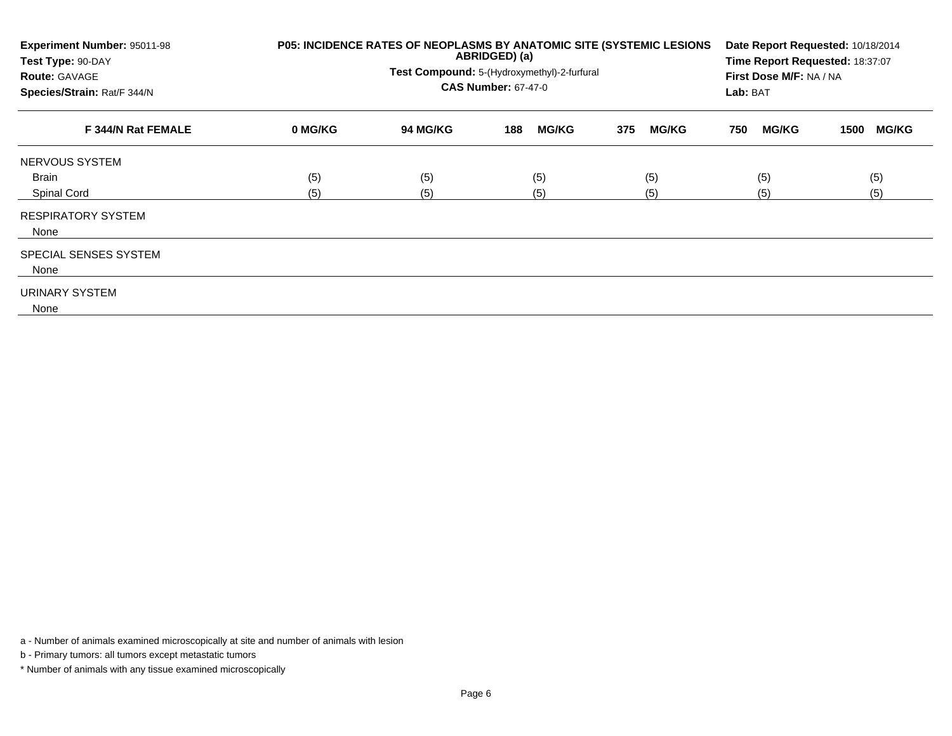| Experiment Number: 95011-98<br>Test Type: 90-DAY<br><b>Route: GAVAGE</b><br>Species/Strain: Rat/F 344/N | P05: INCIDENCE RATES OF NEOPLASMS BY ANATOMIC SITE (SYSTEMIC LESIONS | Date Report Requested: 10/18/2014<br>Time Report Requested: 18:37:07<br>First Dose M/F: NA / NA<br>Lab: BAT |                     |                     |                     |                      |
|---------------------------------------------------------------------------------------------------------|----------------------------------------------------------------------|-------------------------------------------------------------------------------------------------------------|---------------------|---------------------|---------------------|----------------------|
| F 344/N Rat FEMALE                                                                                      | 0 MG/KG                                                              | <b>94 MG/KG</b>                                                                                             | <b>MG/KG</b><br>188 | 375<br><b>MG/KG</b> | <b>MG/KG</b><br>750 | <b>MG/KG</b><br>1500 |
| NERVOUS SYSTEM                                                                                          |                                                                      |                                                                                                             |                     |                     |                     |                      |
| <b>Brain</b>                                                                                            | (5)                                                                  | (5)                                                                                                         | (5)                 | (5)                 | (5)                 | (5)                  |
| Spinal Cord                                                                                             | (5)                                                                  | (5)                                                                                                         | (5)                 | (5)                 | (5)                 | (5)                  |
| <b>RESPIRATORY SYSTEM</b><br>None                                                                       |                                                                      |                                                                                                             |                     |                     |                     |                      |
| SPECIAL SENSES SYSTEM<br>None                                                                           |                                                                      |                                                                                                             |                     |                     |                     |                      |
| URINARY SYSTEM<br>None                                                                                  |                                                                      |                                                                                                             |                     |                     |                     |                      |

a - Number of animals examined microscopically at site and number of animals with lesion

b - Primary tumors: all tumors except metastatic tumors